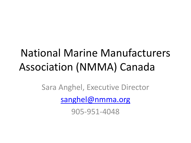# National Marine Manufacturers Association (NMMA) Canada

Sara Anghel, Executive Director [sanghel@nmma.org](mailto:sanghel@nmma.org)

905-951-4048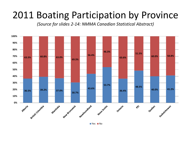## 2011 Boating Participation by Province

*(Source for slides 2-14: NMMA Canadian Statistical Abstract)*

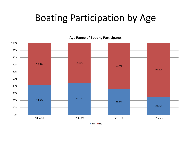### Boating Participation by Age



**Age Range of Boating Participants**

■ Yes ■ No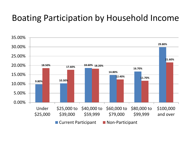#### Boating Participation by Household Income

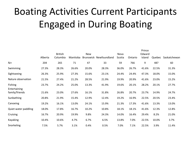# Boating Activities Current Participants Engaged in During Boating

Prince

|                         | Alberta | <b>British</b><br>Columbia | Manitoba | New   | Brunswick Newfoundland | Nova<br>Scotia | Ontario | Prince<br>Edward<br>Island | Quebec | Saskatchewan |
|-------------------------|---------|----------------------------|----------|-------|------------------------|----------------|---------|----------------------------|--------|--------------|
| $N=$                    | 204     | 265                        | 71       | 47    | 33                     | 59             | 766     | 9                          | 487    | 60           |
| Swimming                | 27.3%   | 28.3%                      | 26.6%    | 20.0% | 28.3%                  | 36.0%          | 26.7%   | 41.6%                      | 22.5%  | 31.3%        |
| Sightseeing             | 26.3%   | 25.9%                      | 27.3%    | 15.6% | 23.1%                  | 24.4%          | 24.4%   | 47.3%                      | 18.0%  | 15.0%        |
| Nature observation      | 21.5%   | 27.4%                      | 21.2%    | 28.5% | 21.9%                  | 19.9%          | 20.9%   | 41.6%                      | 23.0%  | 15.2%        |
| Fishing<br>Entertaining | 23.7%   | 24.2%                      | 25.0%    | 13.3% | 41.9%                  | 19.6%          | 20.1%   | 28.2%                      | 20.1%  | 27.7%        |
| family/friends          | 21.6%   | 23.0%                      | 27.6%    | 16.1% | 31.8%                  | 26.8%          | 20.7%   | 23.7%                      | 14.9%  | 24.7%        |
| Sunbathing              | 20.8%   | 21.9%                      | 15.4%    | 12.9% | 12.4%                  | 19.2%          | 16.9%   | 22.5%                      | 20.5%  | 23.4%        |
| Canoeing                | 19.2%   | 16.1%                      | 13.0%    | 24.1% | 15.9%                  | 21.3%          | 17.3%   | 41.6%                      | 13.3%  | 13.0%        |
| Quiet water paddling    | 18.0%   | 17.8%                      | 16.7%    | 10.2% | 10.8%                  | 18.1%          | 18.1%   | 41.6%                      | 12.3%  | 12.8%        |
| Cruising                | 16.7%   | 20.9%                      | 19.9%    | 9.8%  | 24.3%                  | 14.0%          | 16.4%   | 29.4%                      | 8.2%   | 21.0%        |
| Kayaking                | 10.4%   | 10.6%                      | 4.7%     | 6.7%  | 6.5%                   | 13.8%          | 7.0%    | 22.5%                      | 10.0%  | 3.7%         |
| Snorkeling              | 7.5%    | 5.7%                       | 3.1%     | 0.4%  | 0.5%                   | 7.0%           | 7.1%    | 22.5%                      | 3.9%   | 11.4%        |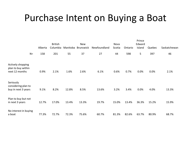### Purchase Intent on Buying a Boat

|                                                           | Alberta | <b>British</b><br>Columbia | Manitoba | <b>New</b><br>Brunswick | Newfoundland | Nova<br>Scotia | Ontario | Prince<br>Edward<br>Island | Quebec | Saskatchewan |
|-----------------------------------------------------------|---------|----------------------------|----------|-------------------------|--------------|----------------|---------|----------------------------|--------|--------------|
| $N =$                                                     | 158     | 201                        | 55       | 37                      | 27           | 44             | 598     | 5                          | 397    | 46           |
| Actively shopping<br>plan to buy within<br>next 12 months | 0.9%    | 2.1%                       | 1.6%     | 2.6%                    | 6.1%         | 0.6%           | 0.7%    | 0.0%                       | 0.0%   | 2.1%         |
| Seriously<br>considering plan to<br>buy in next 3 years   | 9.1%    | 8.2%                       | 12.8%    | 8.5%                    | 13.6%        | 3.2%           | 3.4%    | 0.0%                       | 4.0%   | 13.3%        |
| Plan to buy but not<br>in next 3 years                    | 12.7%   | 17.0%                      | 13.4%    | 13.3%                   | 19.7%        | 15.0%          | 13.4%   | 36.3%                      | 15.2%  | 15.9%        |
| No interest in buying<br>a boat                           | 77.3%   | 72.7%                      | 72.3%    | 75.6%                   | 60.7%        | 81.3%          | 82.6%   | 63.7%                      | 80.9%  | 68.7%        |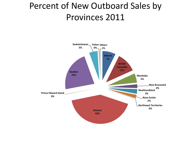### Percent of New Outboard Sales by Provinces 2011

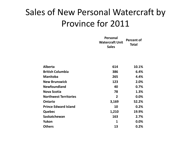### Sales of New Personal Watercraft by Province for 2011

|                              | Personal<br><b>Watercraft Unit</b><br><b>Sales</b> | <b>Percent of</b><br><b>Total</b> |
|------------------------------|----------------------------------------------------|-----------------------------------|
|                              |                                                    |                                   |
| <b>Alberta</b>               | 614                                                | 10.1%                             |
| <b>British Columbia</b>      | 386                                                | 6.4%                              |
| <b>Manitoba</b>              | 265                                                | 4.4%                              |
| <b>New Brunswick</b>         | 123                                                | 2.0%                              |
| <b>Newfoundland</b>          | 40                                                 | 0.7%                              |
| <b>Nova Scotia</b>           | 78                                                 | 1.3%                              |
| <b>Northwest Territories</b> | $\mathbf{2}$                                       | 0.0%                              |
| <b>Ontario</b>               | 3,169                                              | 52.2%                             |
| <b>Prince Edward Island</b>  | 10                                                 | 0.2%                              |
| Quebec                       | 1,210                                              | 19.9%                             |
| Saskatchewan                 | 163                                                | 2.7%                              |
| Yukon                        | 1                                                  | 0.0%                              |
| <b>Others</b>                | 13                                                 | 0.2%                              |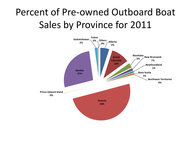# Percent of Pre-owned Outboard Boat Sales by Province for 2011

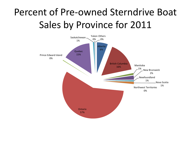# Percent of Pre-owned Sterndrive Boat Sales by Province for 2011

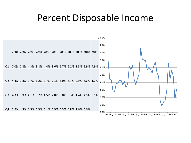#### Percent Disposable Income

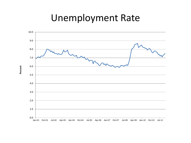### Unemployment Rate

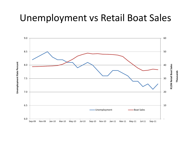#### Unemployment vs Retail Boat Sales

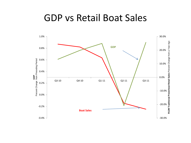#### GDP vs Retail Boat Sales

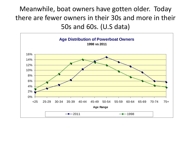Meanwhile, boat owners have gotten older. Today there are fewer owners in their 30s and more in their 50s and 60s. (U.S data)

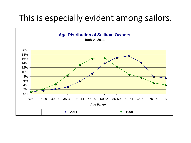#### This is especially evident among sailors.

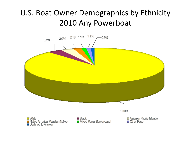#### U.S. Boat Owner Demographics by Ethnicity 2010 Any Powerboat

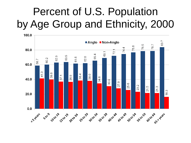# Percent of U.S. Population by Age Group and Ethnicity, 2000

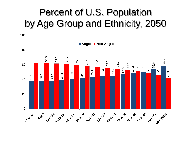# Percent of U.S. Population by Age Group and Ethnicity, 2050

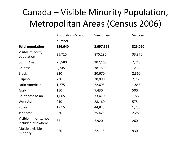### Canada – Visible Minority Population, Metropolitan Areas (Census 2006)

|                                             | Abbotsford-Mission | Vancouver | Victoria |
|---------------------------------------------|--------------------|-----------|----------|
|                                             | number             |           |          |
| <b>Total population</b>                     | 156,640            | 2,097,965 | 325,060  |
| Visible minority<br>population              | 35,715             | 875,295   | 33,870   |
| South Asian                                 | 25,580             | 207,160   | 7,210    |
| Chinese                                     | 2,245              | 381,535   | 12,330   |
| <b>Black</b>                                | 930                | 20,670    | 2,360    |
| Filipino                                    | 730                | 78,890    | 2,760    |
| Latin American                              | 1,275              | 22,695    | 1,845    |
| Arab                                        | 150                | 7,430     | 500      |
| Southeast Asian                             | 1,665              | 33,470    | 1,585    |
| <b>West Asian</b>                           | 210                | 28,160    | 575      |
| Korean                                      | 1,615              | 44,825    | 1,235    |
| Japanese                                    | 830                | 25,425    | 2,280    |
| Visible minority, not<br>included elsewhere | 35                 | 2,920     | 260      |
| Multiple visible<br>minority                | 450                | 22,115    | 930      |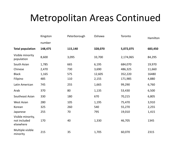### Metropolitan Areas Continued

|                                                | Kingston | Peterborough | Oshawa  | Toronto   | Hamilton |
|------------------------------------------------|----------|--------------|---------|-----------|----------|
|                                                | number   |              |         |           |          |
| <b>Total population</b>                        | 148,475  | 115,140      | 328,070 | 5,072,075 | 683,450  |
| Visible minority<br>population                 | 8,600    | 3,095        | 33,700  | 2,174,065 | 84,295   |
| South Asian                                    | 1,785    | 665          | 6,195   | 684,070   | 19,970   |
| Chinese                                        | 2,470    | 730          | 3,690   | 486,325   | 11,660   |
| <b>Black</b>                                   | 1,165    | 575          | 12,605  | 352,220   | 16480    |
| Filipino                                       | 485      | 110          | 2,155   | 171,985   | 4,880    |
| Latin American                                 | 745      | 255          | 1,665   | 99,290    | 6,760    |
| Arab                                           | 370      | 80           | 1,135   | 53,430    | 6,500    |
| Southeast Asian                                | 330      | 180          | 670     | 70,215    | 6,805    |
| <b>West Asian</b>                              | 280      | 105          | 1,195   | 75,470    | 3,910    |
| Korean                                         | 325      | 260          | 540     | 55,270    | 2,255    |
| Japanese                                       | 255      | 70           | 795     | 19,010    | 1,415    |
| Visible minority,<br>not included<br>elsewhere | 170      | 40           | 1,330   | 46,705    | 1345     |
| Multiple visible<br>minority                   | 215      | 35           | 1,705   | 60,070    | 2315     |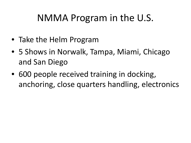## NMMA Program in the U.S.

- Take the Helm Program
- 5 Shows in Norwalk, Tampa, Miami, Chicago and San Diego
- 600 people received training in docking, anchoring, close quarters handling, electronics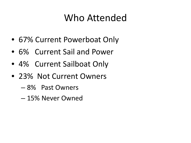# Who Attended

- 67% Current Powerboat Only
- 6% Current Sail and Power
- 4% Current Sailboat Only
- 23% Not Current Owners
	- 8% Past Owners
	- 15% Never Owned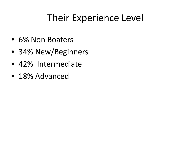# Their Experience Level

- 6% Non Boaters
- 34% New/Beginners
- 42% Intermediate
- 18% Advanced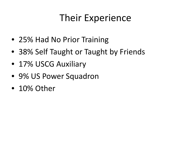# Their Experience

- 25% Had No Prior Training
- 38% Self Taught or Taught by Friends
- 17% USCG Auxiliary
- 9% US Power Squadron
- 10% Other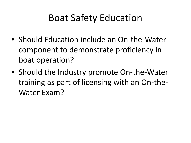## Boat Safety Education

- Should Education include an On-the-Water component to demonstrate proficiency in boat operation?
- Should the Industry promote On-the-Water training as part of licensing with an On-the-Water Exam?